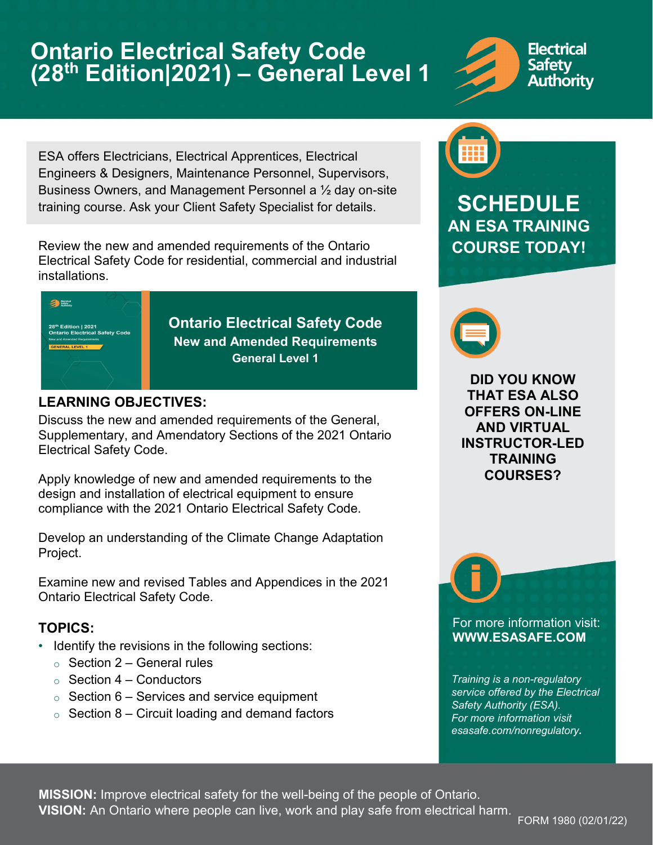# **Ontario Electrical Safety Code (28th Edition|2021) – General Level 1**



ESA offers Electricians, Electrical Apprentices, Electrical Engineers & Designers, Maintenance Personnel, Supervisors, Business Owners, and Management Personnel a ½ day on-site training course. Ask your Client Safety Specialist for details.

Review the new and amended requirements of the Ontario Electrical Safety Code for residential, commercial and industrial installations.



### **LEARNING OBJECTIVES:**

Discuss the new and amended requirements of the General, Supplementary, and Amendatory Sections of the 2021 Ontario Electrical Safety Code.

Apply knowledge of new and amended requirements to the design and installation of electrical equipment to ensure compliance with the 2021 Ontario Electrical Safety Code.

Develop an understanding of the Climate Change Adaptation Project.

Examine new and revised Tables and Appendices in the 2021 Ontario Electrical Safety Code.

### **TOPICS:**

- Identify the revisions in the following sections:
	- $\circ$  Section 2 General rules
	- $\circ$  Section 4 Conductors
	- $\circ$  Section 6 Services and service equipment
	- $\circ$  Section 8 Circuit loading and demand factors



## **SCHEDULE AN ESA TRAINING COURSE TODAY!**



**DID YOU KNOW THAT ESA ALSO OFFERS ON-LINE AND VIRTUAL INSTRUCTOR-LED TRAINING COURSES?** 

For more information visit: **[WWW.ESASAFE.COM](http://www.esasafe.com/)**

*Training is a non-regulatory service offered by the Electrical Safety Authority (ESA). For more information visit [esasafe.com/nonregulatory](http://www.esasafe.com/nonregulatory).* 

**MISSION:** Improve electrical safety for the well-being of the people of Ontario. **VISION:** An Ontario where people can live, work and play safe from electrical harm.